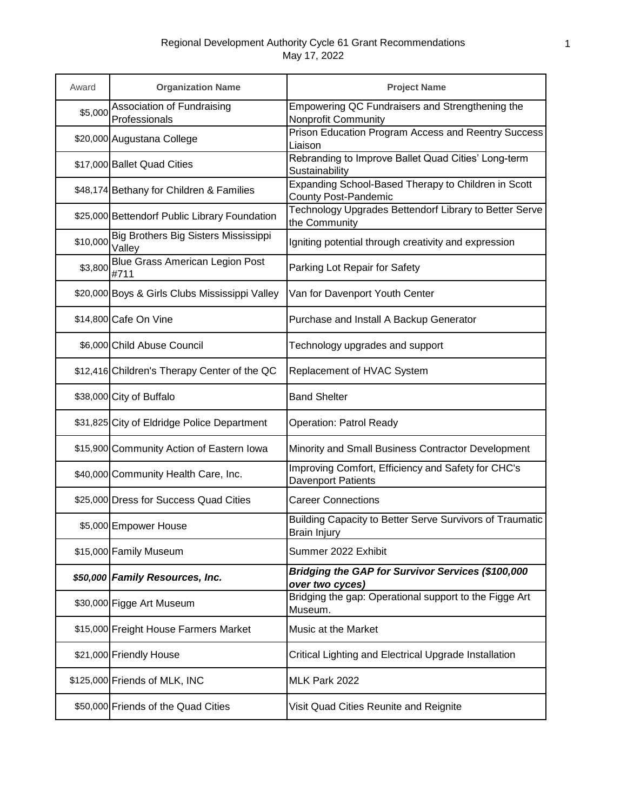| Award    | <b>Organization Name</b>                       | <b>Project Name</b>                                                                |
|----------|------------------------------------------------|------------------------------------------------------------------------------------|
| \$5,000  | Association of Fundraising<br>Professionals    | Empowering QC Fundraisers and Strengthening the<br>Nonprofit Community             |
|          | \$20,000 Augustana College                     | Prison Education Program Access and Reentry Success<br>Liaison                     |
|          | \$17,000 Ballet Quad Cities                    | Rebranding to Improve Ballet Quad Cities' Long-term<br>Sustainability              |
|          | \$48,174 Bethany for Children & Families       | Expanding School-Based Therapy to Children in Scott<br><b>County Post-Pandemic</b> |
|          | \$25,000 Bettendorf Public Library Foundation  | Technology Upgrades Bettendorf Library to Better Serve<br>the Community            |
| \$10,000 | Big Brothers Big Sisters Mississippi<br>Valley | Igniting potential through creativity and expression                               |
| \$3,800  | <b>Blue Grass American Legion Post</b><br>#711 | Parking Lot Repair for Safety                                                      |
|          | \$20,000 Boys & Girls Clubs Mississippi Valley | Van for Davenport Youth Center                                                     |
|          | \$14,800 Cafe On Vine                          | Purchase and Install A Backup Generator                                            |
|          | \$6,000 Child Abuse Council                    | Technology upgrades and support                                                    |
|          | \$12,416 Children's Therapy Center of the QC   | Replacement of HVAC System                                                         |
|          | \$38,000 City of Buffalo                       | <b>Band Shelter</b>                                                                |
|          | \$31,825 City of Eldridge Police Department    | <b>Operation: Patrol Ready</b>                                                     |
|          | \$15,900 Community Action of Eastern Iowa      | Minority and Small Business Contractor Development                                 |
|          | \$40,000 Community Health Care, Inc.           | Improving Comfort, Efficiency and Safety for CHC's<br>Davenport Patients           |
|          | \$25,000 Dress for Success Quad Cities         | <b>Career Connections</b>                                                          |
|          | \$5,000 Empower House                          | Building Capacity to Better Serve Survivors of Traumatic<br>Brain Injury           |
|          | \$15,000 Family Museum                         | Summer 2022 Exhibit                                                                |
|          | \$50,000 Family Resources, Inc.                | Bridging the GAP for Survivor Services (\$100,000<br>over two cyces)               |
|          | \$30,000 Figge Art Museum                      | Bridging the gap: Operational support to the Figge Art<br>Museum.                  |
|          | \$15,000 Freight House Farmers Market          | Music at the Market                                                                |
|          | \$21,000 Friendly House                        | Critical Lighting and Electrical Upgrade Installation                              |
|          | \$125,000 Friends of MLK, INC                  | MLK Park 2022                                                                      |
|          | \$50,000 Friends of the Quad Cities            | Visit Quad Cities Reunite and Reignite                                             |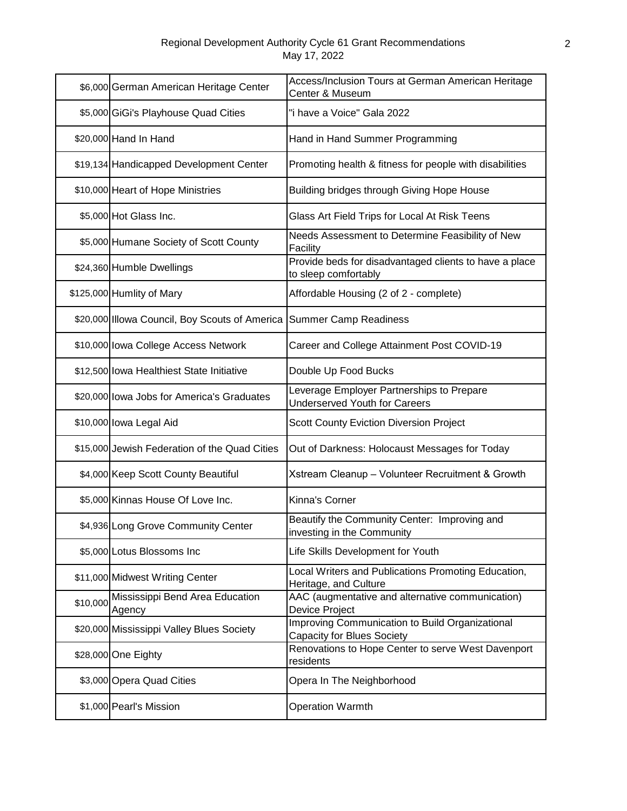|          | \$6,000 German American Heritage Center        | Access/Inclusion Tours at German American Heritage<br>Center & Museum                |
|----------|------------------------------------------------|--------------------------------------------------------------------------------------|
|          | \$5,000 GiGi's Playhouse Quad Cities           | "i have a Voice" Gala 2022                                                           |
|          | \$20,000 Hand In Hand                          | Hand in Hand Summer Programming                                                      |
|          | \$19,134 Handicapped Development Center        | Promoting health & fitness for people with disabilities                              |
|          | \$10,000 Heart of Hope Ministries              | Building bridges through Giving Hope House                                           |
|          | \$5,000 Hot Glass Inc.                         | Glass Art Field Trips for Local At Risk Teens                                        |
|          | \$5,000 Humane Society of Scott County         | Needs Assessment to Determine Feasibility of New<br>Facility                         |
|          | \$24,360 Humble Dwellings                      | Provide beds for disadvantaged clients to have a place<br>to sleep comfortably       |
|          | \$125,000 Humlity of Mary                      | Affordable Housing (2 of 2 - complete)                                               |
|          | \$20,000 Illowa Council, Boy Scouts of America | <b>Summer Camp Readiness</b>                                                         |
|          | \$10,000 lowa College Access Network           | Career and College Attainment Post COVID-19                                          |
|          | \$12,500 Iowa Healthiest State Initiative      | Double Up Food Bucks                                                                 |
|          | \$20,000 lowa Jobs for America's Graduates     | Leverage Employer Partnerships to Prepare<br><b>Underserved Youth for Careers</b>    |
|          | \$10,000 lowa Legal Aid                        | <b>Scott County Eviction Diversion Project</b>                                       |
|          | \$15,000 Jewish Federation of the Quad Cities  | Out of Darkness: Holocaust Messages for Today                                        |
|          | \$4,000 Keep Scott County Beautiful            | Xstream Cleanup - Volunteer Recruitment & Growth                                     |
|          | \$5,000 Kinnas House Of Love Inc.              | Kinna's Corner                                                                       |
|          | \$4,936 Long Grove Community Center            | Beautify the Community Center: Improving and<br>investing in the Community           |
|          | \$5,000 Lotus Blossoms Inc                     | Life Skills Development for Youth                                                    |
|          | \$11,000 Midwest Writing Center                | Local Writers and Publications Promoting Education,<br>Heritage, and Culture         |
| \$10,000 | Mississippi Bend Area Education<br>Agency      | AAC (augmentative and alternative communication)<br>Device Project                   |
|          | \$20,000 Mississippi Valley Blues Society      | Improving Communication to Build Organizational<br><b>Capacity for Blues Society</b> |
|          | \$28,000 One Eighty                            | Renovations to Hope Center to serve West Davenport<br>residents                      |
|          | \$3,000 Opera Quad Cities                      | Opera In The Neighborhood                                                            |
|          | \$1,000 Pearl's Mission                        | <b>Operation Warmth</b>                                                              |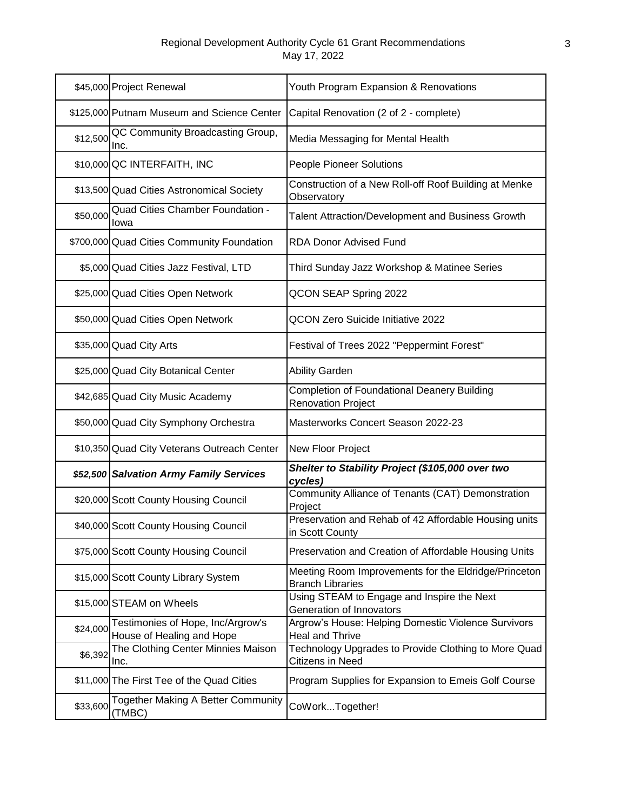|          | \$45,000 Project Renewal                                       | Youth Program Expansion & Renovations                                           |
|----------|----------------------------------------------------------------|---------------------------------------------------------------------------------|
|          | \$125,000 Putnam Museum and Science Center                     | Capital Renovation (2 of 2 - complete)                                          |
| \$12,500 | QC Community Broadcasting Group,<br>Inc.                       | Media Messaging for Mental Health                                               |
|          | \$10,000 QC INTERFAITH, INC                                    | People Pioneer Solutions                                                        |
|          | \$13,500 Quad Cities Astronomical Society                      | Construction of a New Roll-off Roof Building at Menke<br>Observatory            |
| \$50,000 | Quad Cities Chamber Foundation -<br>Iowa                       | Talent Attraction/Development and Business Growth                               |
|          | \$700,000 Quad Cities Community Foundation                     | <b>RDA Donor Advised Fund</b>                                                   |
|          | \$5,000 Quad Cities Jazz Festival, LTD                         | Third Sunday Jazz Workshop & Matinee Series                                     |
|          | \$25,000 Quad Cities Open Network                              | QCON SEAP Spring 2022                                                           |
|          | \$50,000 Quad Cities Open Network                              | <b>QCON Zero Suicide Initiative 2022</b>                                        |
|          | \$35,000 Quad City Arts                                        | Festival of Trees 2022 "Peppermint Forest"                                      |
|          | \$25,000 Quad City Botanical Center                            | <b>Ability Garden</b>                                                           |
|          | \$42,685 Quad City Music Academy                               | <b>Completion of Foundational Deanery Building</b><br><b>Renovation Project</b> |
|          | \$50,000 Quad City Symphony Orchestra                          | Masterworks Concert Season 2022-23                                              |
|          | \$10,350 Quad City Veterans Outreach Center                    | New Floor Project                                                               |
|          | \$52,500 Salvation Army Family Services                        | Shelter to Stability Project (\$105,000 over two<br>cycles)                     |
|          | \$20,000 Scott County Housing Council                          | Community Alliance of Tenants (CAT) Demonstration<br>Project                    |
|          | \$40,000 Scott County Housing Council                          | Preservation and Rehab of 42 Affordable Housing units<br>in Scott County        |
|          | \$75,000 Scott County Housing Council                          | Preservation and Creation of Affordable Housing Units                           |
|          | \$15,000 Scott County Library System                           | Meeting Room Improvements for the Eldridge/Princeton<br><b>Branch Libraries</b> |
|          | \$15,000 STEAM on Wheels                                       | Using STEAM to Engage and Inspire the Next<br>Generation of Innovators          |
| \$24,000 | Testimonies of Hope, Inc/Argrow's<br>House of Healing and Hope | Argrow's House: Helping Domestic Violence Survivors<br>Heal and Thrive          |
| \$6,392  | The Clothing Center Minnies Maison<br>Inc.                     | Technology Upgrades to Provide Clothing to More Quad<br>Citizens in Need        |
|          | \$11,000 The First Tee of the Quad Cities                      | Program Supplies for Expansion to Emeis Golf Course                             |
| \$33,600 | <b>Together Making A Better Community</b><br>(TMBC)            | CoWorkTogether!                                                                 |